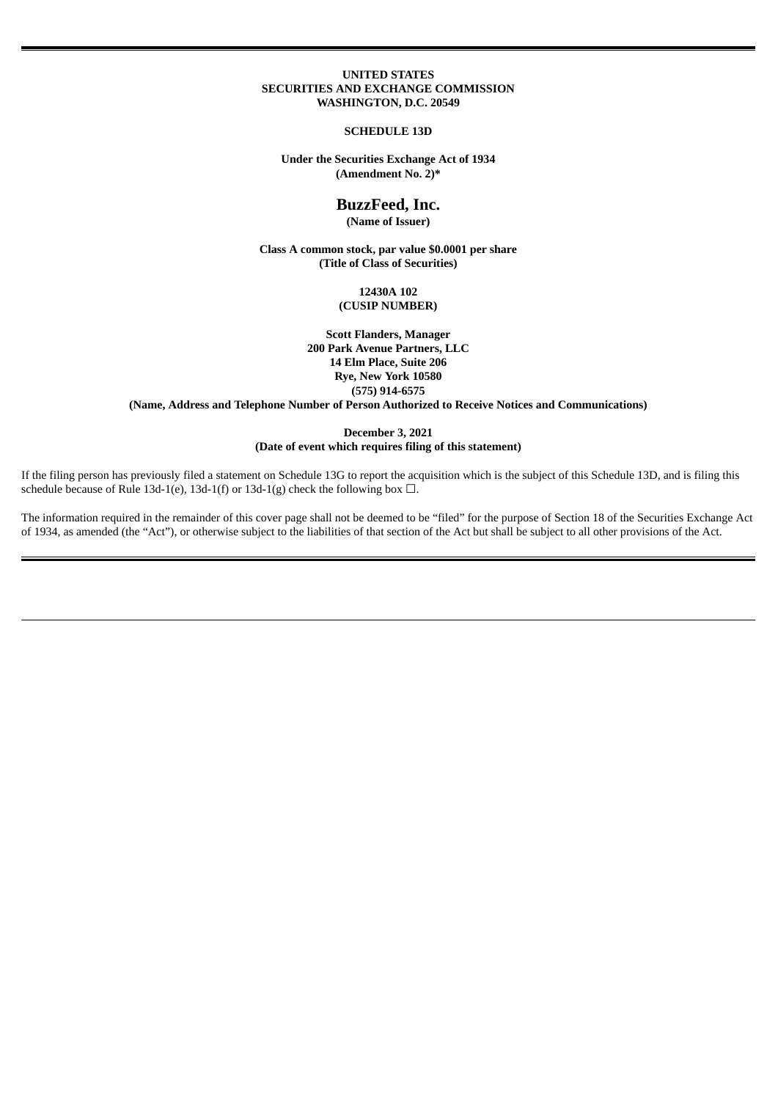#### **UNITED STATES SECURITIES AND EXCHANGE COMMISSION WASHINGTON, D.C. 20549**

#### **SCHEDULE 13D**

#### **Under the Securities Exchange Act of 1934 (Amendment No. 2)\***

# **BuzzFeed, Inc. (Name of Issuer)**

**Class A common stock, par value \$0.0001 per share (Title of Class of Securities)**

> **12430A 102 (CUSIP NUMBER)**

**Scott Flanders, Manager 200 Park Avenue Partners, LLC 14 Elm Place, Suite 206 Rye, New York 10580 (575) 914-6575**

**(Name, Address and Telephone Number of Person Authorized to Receive Notices and Communications)**

#### **December 3, 2021 (Date of event which requires filing of this statement)**

If the filing person has previously filed a statement on Schedule 13G to report the acquisition which is the subject of this Schedule 13D, and is filing this schedule because of Rule 13d-1(e), 13d-1(f) or 13d-1(g) check the following box  $\Box$ .

The information required in the remainder of this cover page shall not be deemed to be "filed" for the purpose of Section 18 of the Securities Exchange Act of 1934, as amended (the "Act"), or otherwise subject to the liabilities of that section of the Act but shall be subject to all other provisions of the Act.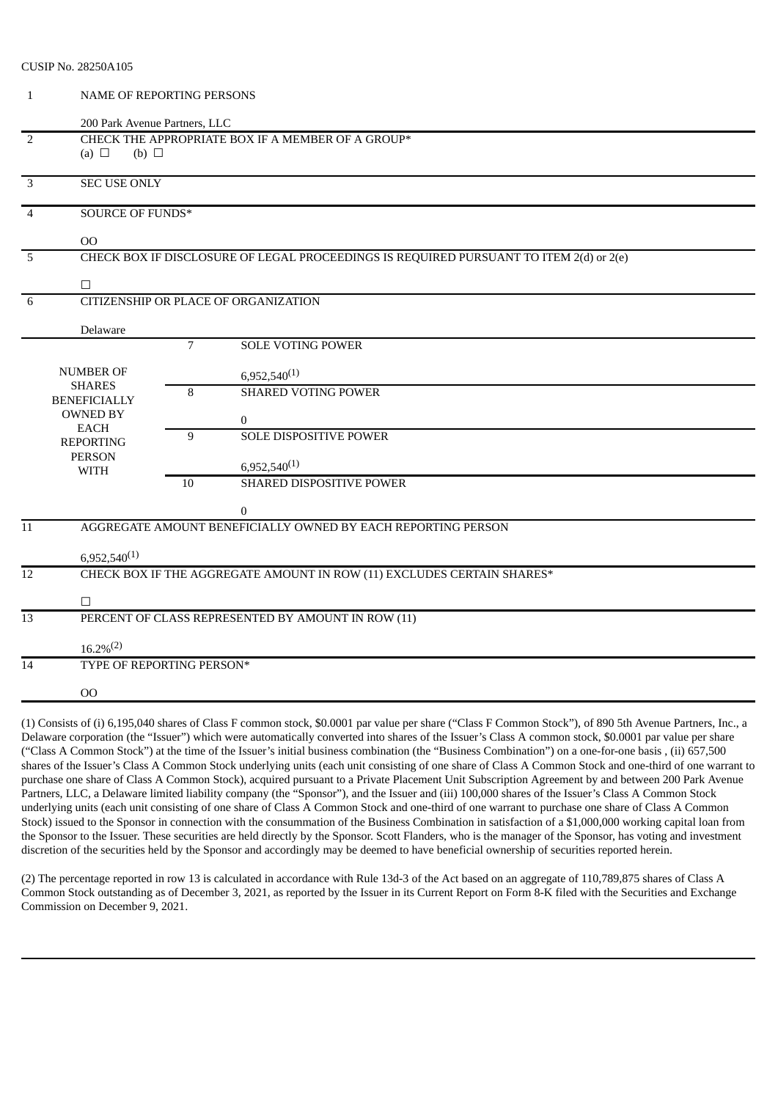| CUSIP No. 28250A105 |                                           |  |  |  |  |  |
|---------------------|-------------------------------------------|--|--|--|--|--|
|                     | NAME OF REPORTING PERSONS                 |  |  |  |  |  |
|                     | $\sim$ $\sim$ $\sim$ $\sim$ $\sim$ $\sim$ |  |  |  |  |  |

|                 | 200 Park Avenue Partners, LLC                                          |                |                                                                                        |  |  |  |
|-----------------|------------------------------------------------------------------------|----------------|----------------------------------------------------------------------------------------|--|--|--|
| $\overline{2}$  |                                                                        |                | CHECK THE APPROPRIATE BOX IF A MEMBER OF A GROUP*                                      |  |  |  |
|                 | (a) $\Box$<br>(b) $\Box$                                               |                |                                                                                        |  |  |  |
| $\overline{3}$  | <b>SEC USE ONLY</b>                                                    |                |                                                                                        |  |  |  |
|                 |                                                                        |                |                                                                                        |  |  |  |
| $\overline{4}$  | <b>SOURCE OF FUNDS*</b>                                                |                |                                                                                        |  |  |  |
|                 | O <sub>O</sub>                                                         |                |                                                                                        |  |  |  |
| 5               |                                                                        |                | CHECK BOX IF DISCLOSURE OF LEGAL PROCEEDINGS IS REQUIRED PURSUANT TO ITEM 2(d) or 2(e) |  |  |  |
|                 | $\Box$                                                                 |                |                                                                                        |  |  |  |
| 6               |                                                                        |                | CITIZENSHIP OR PLACE OF ORGANIZATION                                                   |  |  |  |
|                 |                                                                        |                |                                                                                        |  |  |  |
|                 | Delaware                                                               | $\overline{7}$ |                                                                                        |  |  |  |
|                 |                                                                        |                | <b>SOLE VOTING POWER</b>                                                               |  |  |  |
|                 | <b>NUMBER OF</b>                                                       |                | $6,952,540^{(1)}$                                                                      |  |  |  |
|                 | <b>SHARES</b><br><b>BENEFICIALLY</b>                                   | 8              | <b>SHARED VOTING POWER</b>                                                             |  |  |  |
|                 | <b>OWNED BY</b>                                                        |                | $\boldsymbol{0}$                                                                       |  |  |  |
|                 | <b>EACH</b>                                                            | 9              | <b>SOLE DISPOSITIVE POWER</b>                                                          |  |  |  |
|                 | <b>REPORTING</b><br><b>PERSON</b>                                      |                |                                                                                        |  |  |  |
|                 | <b>WITH</b>                                                            |                | $6,952,540^{(1)}$                                                                      |  |  |  |
|                 |                                                                        | 10             | SHARED DISPOSITIVE POWER                                                               |  |  |  |
|                 |                                                                        |                | $\theta$                                                                               |  |  |  |
| 11              |                                                                        |                | AGGREGATE AMOUNT BENEFICIALLY OWNED BY EACH REPORTING PERSON                           |  |  |  |
|                 | $6,952,540^{(1)}$                                                      |                |                                                                                        |  |  |  |
| $\overline{12}$ | CHECK BOX IF THE AGGREGATE AMOUNT IN ROW (11) EXCLUDES CERTAIN SHARES* |                |                                                                                        |  |  |  |
|                 |                                                                        |                |                                                                                        |  |  |  |
| $\overline{13}$ | $\Box$                                                                 |                | PERCENT OF CLASS REPRESENTED BY AMOUNT IN ROW (11)                                     |  |  |  |
|                 |                                                                        |                |                                                                                        |  |  |  |
|                 | $16.2\%/2)$                                                            |                |                                                                                        |  |  |  |
| 14              | TYPE OF REPORTING PERSON*                                              |                |                                                                                        |  |  |  |
|                 | 00                                                                     |                |                                                                                        |  |  |  |
|                 |                                                                        |                |                                                                                        |  |  |  |

(1) Consists of (i) 6,195,040 shares of Class F common stock, \$0.0001 par value per share ("Class F Common Stock"), of 890 5th Avenue Partners, Inc., a Delaware corporation (the "Issuer") which were automatically converted into shares of the Issuer's Class A common stock, \$0.0001 par value per share ("Class A Common Stock") at the time of the Issuer's initial business combination (the "Business Combination") on a one-for-one basis , (ii) 657,500 shares of the Issuer's Class A Common Stock underlying units (each unit consisting of one share of Class A Common Stock and one-third of one warrant to purchase one share of Class A Common Stock), acquired pursuant to a Private Placement Unit Subscription Agreement by and between 200 Park Avenue Partners, LLC, a Delaware limited liability company (the "Sponsor"), and the Issuer and (iii) 100,000 shares of the Issuer's Class A Common Stock underlying units (each unit consisting of one share of Class A Common Stock and one-third of one warrant to purchase one share of Class A Common Stock) issued to the Sponsor in connection with the consummation of the Business Combination in satisfaction of a \$1,000,000 working capital loan from the Sponsor to the Issuer. These securities are held directly by the Sponsor. Scott Flanders, who is the manager of the Sponsor, has voting and investment discretion of the securities held by the Sponsor and accordingly may be deemed to have beneficial ownership of securities reported herein.

(2) The percentage reported in row 13 is calculated in accordance with Rule 13d-3 of the Act based on an aggregate of 110,789,875 shares of Class A Common Stock outstanding as of December 3, 2021, as reported by the Issuer in its Current Report on Form 8-K filed with the Securities and Exchange Commission on December 9, 2021.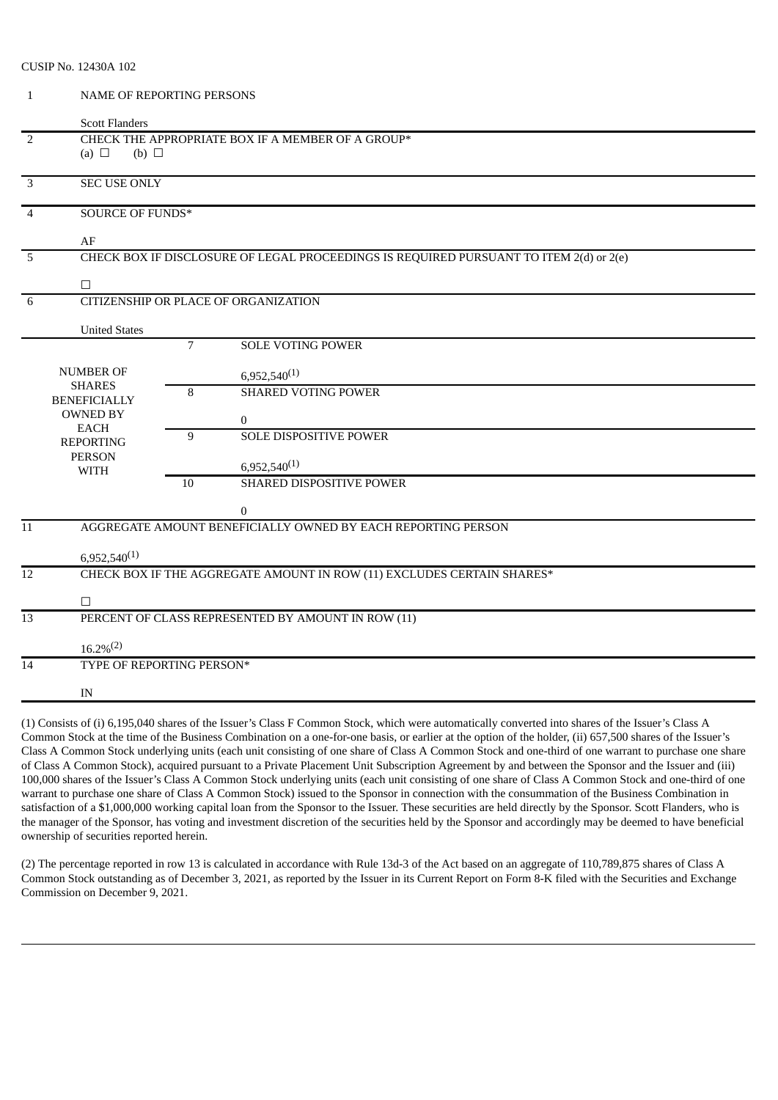| CUSIP No. 12430A 102 |  |  |
|----------------------|--|--|
|----------------------|--|--|

1 NAME OF REPORTING PERSONS

|                 | <b>Scott Flanders</b>                                                            |                                                                                              |                                                              |  |  |  |  |  |  |
|-----------------|----------------------------------------------------------------------------------|----------------------------------------------------------------------------------------------|--------------------------------------------------------------|--|--|--|--|--|--|
| $\overline{2}$  | (a) $\Box$<br>(b) $\Box$                                                         |                                                                                              | CHECK THE APPROPRIATE BOX IF A MEMBER OF A GROUP*            |  |  |  |  |  |  |
| $\overline{3}$  | <b>SEC USE ONLY</b>                                                              |                                                                                              |                                                              |  |  |  |  |  |  |
| $\overline{4}$  | <b>SOURCE OF FUNDS*</b>                                                          |                                                                                              |                                                              |  |  |  |  |  |  |
| 5               | $\Box$                                                                           | AF<br>CHECK BOX IF DISCLOSURE OF LEGAL PROCEEDINGS IS REQUIRED PURSUANT TO ITEM 2(d) or 2(e) |                                                              |  |  |  |  |  |  |
| 6               | <b>United States</b>                                                             |                                                                                              | CITIZENSHIP OR PLACE OF ORGANIZATION                         |  |  |  |  |  |  |
|                 |                                                                                  | $\overline{7}$                                                                               | <b>SOLE VOTING POWER</b>                                     |  |  |  |  |  |  |
|                 | <b>NUMBER OF</b><br><b>SHARES</b><br><b>BENEFICIALLY</b><br><b>OWNED BY</b>      | 8                                                                                            | $6,952,540^{(1)}$<br><b>SHARED VOTING POWER</b><br>$\bf{0}$  |  |  |  |  |  |  |
|                 | <b>EACH</b><br><b>REPORTING</b><br><b>PERSON</b><br><b>WITH</b>                  | 9                                                                                            | <b>SOLE DISPOSITIVE POWER</b><br>$6,952,540^{(1)}$           |  |  |  |  |  |  |
|                 |                                                                                  | 10                                                                                           | SHARED DISPOSITIVE POWER<br>$\boldsymbol{0}$                 |  |  |  |  |  |  |
| $\overline{11}$ | $6,952,540^{(1)}$                                                                |                                                                                              | AGGREGATE AMOUNT BENEFICIALLY OWNED BY EACH REPORTING PERSON |  |  |  |  |  |  |
| 12              | CHECK BOX IF THE AGGREGATE AMOUNT IN ROW (11) EXCLUDES CERTAIN SHARES*<br>$\Box$ |                                                                                              |                                                              |  |  |  |  |  |  |
| 13              | PERCENT OF CLASS REPRESENTED BY AMOUNT IN ROW (11)<br>$16.2\%/2)$                |                                                                                              |                                                              |  |  |  |  |  |  |
| 14              | TYPE OF REPORTING PERSON*<br>IN                                                  |                                                                                              |                                                              |  |  |  |  |  |  |
|                 |                                                                                  |                                                                                              |                                                              |  |  |  |  |  |  |

(1) Consists of (i) 6,195,040 shares of the Issuer's Class F Common Stock, which were automatically converted into shares of the Issuer's Class A Common Stock at the time of the Business Combination on a one-for-one basis, or earlier at the option of the holder, (ii) 657,500 shares of the Issuer's Class A Common Stock underlying units (each unit consisting of one share of Class A Common Stock and one-third of one warrant to purchase one share of Class A Common Stock), acquired pursuant to a Private Placement Unit Subscription Agreement by and between the Sponsor and the Issuer and (iii) 100,000 shares of the Issuer's Class A Common Stock underlying units (each unit consisting of one share of Class A Common Stock and one-third of one warrant to purchase one share of Class A Common Stock) issued to the Sponsor in connection with the consummation of the Business Combination in satisfaction of a \$1,000,000 working capital loan from the Sponsor to the Issuer. These securities are held directly by the Sponsor. Scott Flanders, who is the manager of the Sponsor, has voting and investment discretion of the securities held by the Sponsor and accordingly may be deemed to have beneficial ownership of securities reported herein.

(2) The percentage reported in row 13 is calculated in accordance with Rule 13d-3 of the Act based on an aggregate of 110,789,875 shares of Class A Common Stock outstanding as of December 3, 2021, as reported by the Issuer in its Current Report on Form 8-K filed with the Securities and Exchange Commission on December 9, 2021.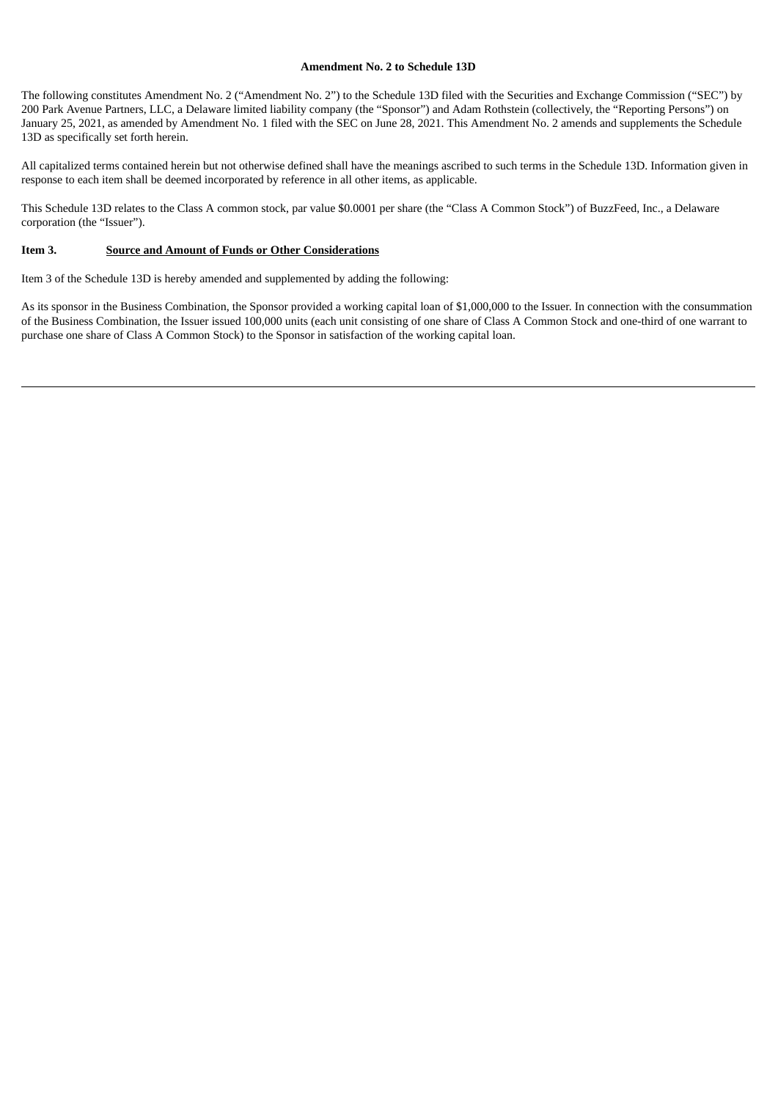### **Amendment No. 2 to Schedule 13D**

The following constitutes Amendment No. 2 ("Amendment No. 2") to the Schedule 13D filed with the Securities and Exchange Commission ("SEC") by 200 Park Avenue Partners, LLC, a Delaware limited liability company (the "Sponsor") and Adam Rothstein (collectively, the "Reporting Persons") on January 25, 2021, as amended by Amendment No. 1 filed with the SEC on June 28, 2021. This Amendment No. 2 amends and supplements the Schedule 13D as specifically set forth herein.

All capitalized terms contained herein but not otherwise defined shall have the meanings ascribed to such terms in the Schedule 13D. Information given in response to each item shall be deemed incorporated by reference in all other items, as applicable.

This Schedule 13D relates to the Class A common stock, par value \$0.0001 per share (the "Class A Common Stock") of BuzzFeed, Inc., a Delaware corporation (the "Issuer").

## **Item 3. Source and Amount of Funds or Other Considerations**

Item 3 of the Schedule 13D is hereby amended and supplemented by adding the following:

As its sponsor in the Business Combination, the Sponsor provided a working capital loan of \$1,000,000 to the Issuer. In connection with the consummation of the Business Combination, the Issuer issued 100,000 units (each unit consisting of one share of Class A Common Stock and one-third of one warrant to purchase one share of Class A Common Stock) to the Sponsor in satisfaction of the working capital loan.